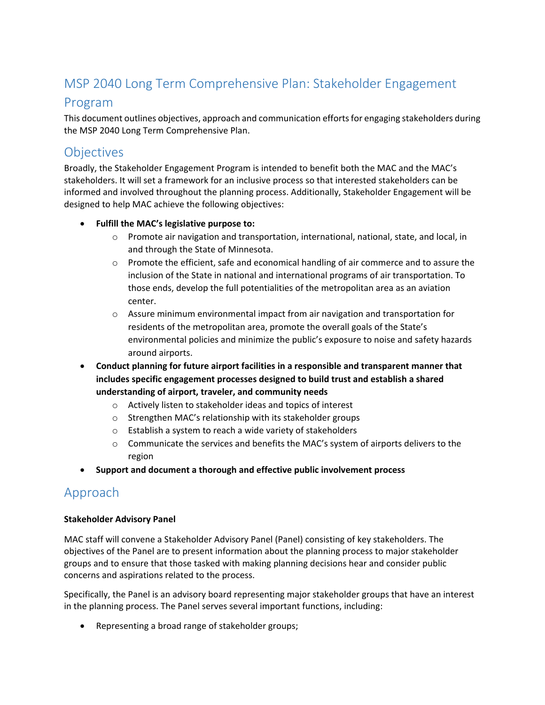## MSP 2040 Long Term Comprehensive Plan: Stakeholder Engagement

### Program

This document outlines objectives, approach and communication efforts for engaging stakeholders during the MSP 2040 Long Term Comprehensive Plan.

## **Objectives**

Broadly, the Stakeholder Engagement Program is intended to benefit both the MAC and the MAC's stakeholders. It will set a framework for an inclusive process so that interested stakeholders can be informed and involved throughout the planning process. Additionally, Stakeholder Engagement will be designed to help MAC achieve the following objectives:

### • **Fulfill the MAC's legislative purpose to:**

- $\circ$  Promote air navigation and transportation, international, national, state, and local, in and through the State of Minnesota.
- o Promote the efficient, safe and economical handling of air commerce and to assure the inclusion of the State in national and international programs of air transportation. To those ends, develop the full potentialities of the metropolitan area as an aviation center.
- $\circ$  Assure minimum environmental impact from air navigation and transportation for residents of the metropolitan area, promote the overall goals of the State's environmental policies and minimize the public's exposure to noise and safety hazards around airports.
- **Conduct planning for future airport facilities in a responsible and transparent manner that includes specific engagement processes designed to build trust and establish a shared understanding of airport, traveler, and community needs**
	- o Actively listen to stakeholder ideas and topics of interest
	- o Strengthen MAC's relationship with its stakeholder groups
	- o Establish a system to reach a wide variety of stakeholders
	- $\circ$  Communicate the services and benefits the MAC's system of airports delivers to the region
- **Support and document a thorough and effective public involvement process**

### Approach

### **Stakeholder Advisory Panel**

MAC staff will convene a Stakeholder Advisory Panel (Panel) consisting of key stakeholders. The objectives of the Panel are to present information about the planning process to major stakeholder groups and to ensure that those tasked with making planning decisions hear and consider public concerns and aspirations related to the process.

Specifically, the Panel is an advisory board representing major stakeholder groups that have an interest in the planning process. The Panel serves several important functions, including:

• Representing a broad range of stakeholder groups;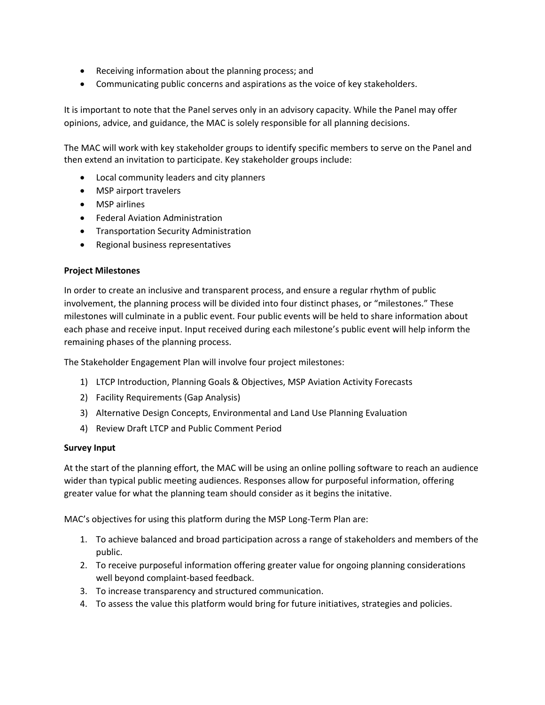- Receiving information about the planning process; and
- Communicating public concerns and aspirations as the voice of key stakeholders.

It is important to note that the Panel serves only in an advisory capacity. While the Panel may offer opinions, advice, and guidance, the MAC is solely responsible for all planning decisions.

The MAC will work with key stakeholder groups to identify specific members to serve on the Panel and then extend an invitation to participate. Key stakeholder groups include:

- Local community leaders and city planners
- MSP airport travelers
- MSP airlines
- Federal Aviation Administration
- Transportation Security Administration
- Regional business representatives

#### **Project Milestones**

In order to create an inclusive and transparent process, and ensure a regular rhythm of public involvement, the planning process will be divided into four distinct phases, or "milestones." These milestones will culminate in a public event. Four public events will be held to share information about each phase and receive input. Input received during each milestone's public event will help inform the remaining phases of the planning process.

The Stakeholder Engagement Plan will involve four project milestones:

- 1) LTCP Introduction, Planning Goals & Objectives, MSP Aviation Activity Forecasts
- 2) Facility Requirements (Gap Analysis)
- 3) Alternative Design Concepts, Environmental and Land Use Planning Evaluation
- 4) Review Draft LTCP and Public Comment Period

#### **Survey Input**

At the start of the planning effort, the MAC will be using an online polling software to reach an audience wider than typical public meeting audiences. Responses allow for purposeful information, offering greater value for what the planning team should consider as it begins the initative.

MAC's objectives for using this platform during the MSP Long-Term Plan are:

- 1. To achieve balanced and broad participation across a range of stakeholders and members of the public.
- 2. To receive purposeful information offering greater value for ongoing planning considerations well beyond complaint-based feedback.
- 3. To increase transparency and structured communication.
- 4. To assess the value this platform would bring for future initiatives, strategies and policies.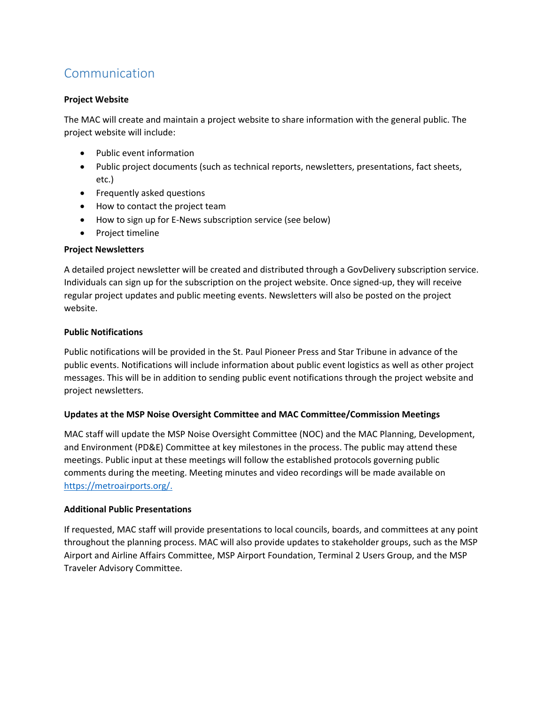# Communication

### **Project Website**

The MAC will create and maintain a project website to share information with the general public. The project website will include:

- Public event information
- Public project documents (such as technical reports, newsletters, presentations, fact sheets, etc.)
- Frequently asked questions
- How to contact the project team
- How to sign up for E-News subscription service (see below)
- Project timeline

### **Project Newsletters**

A detailed project newsletter will be created and distributed through a GovDelivery subscription service. Individuals can sign up for the subscription on the project website. Once signed-up, they will receive regular project updates and public meeting events. Newsletters will also be posted on the project website.

### **Public Notifications**

Public notifications will be provided in the St. Paul Pioneer Press and Star Tribune in advance of the public events. Notifications will include information about public event logistics as well as other project messages. This will be in addition to sending public event notifications through the project website and project newsletters.

### **Updates at the MSP Noise Oversight Committee and MAC Committee/Commission Meetings**

MAC staff will update the MSP Noise Oversight Committee (NOC) and the MAC Planning, Development, and Environment (PD&E) Committee at key milestones in the process. The public may attend these meetings. Public input at these meetings will follow the established protocols governing public comments during the meeting. Meeting minutes and video recordings will be made available on https://metroairports.org/.

### **Additional Public Presentations**

If requested, MAC staff will provide presentations to local councils, boards, and committees at any point throughout the planning process. MAC will also provide updates to stakeholder groups, such as the MSP Airport and Airline Affairs Committee, MSP Airport Foundation, Terminal 2 Users Group, and the MSP Traveler Advisory Committee.